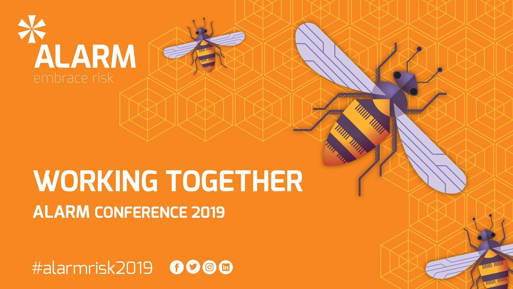

### **WORKING TOGETHER ALARM CONFERENCE 2019**

#alarmrisk2019 0000

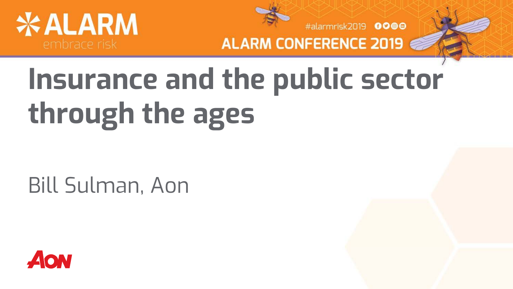



#alarmrisk2019 0000

**ALARM CONFERENCE 2019** 

# **Insurance and the public sector through the ages**

Bill Sulman, Aon

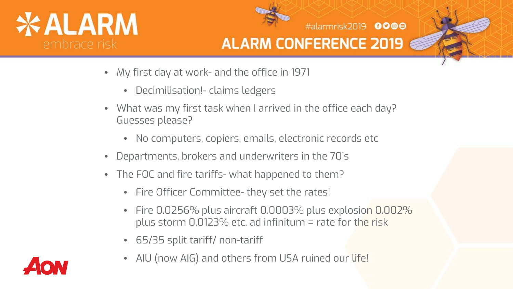



#alarmrisk2019 0000

- My first day at work- and the office in 1971
	- Decimilisation!- claims ledgers
- What was my first task when I arrived in the office each day? Guesses please?
	- No computers, copiers, emails, electronic records etc
- Departments, brokers and underwriters in the 70's
- The FOC and fire tariffs- what happened to them?
	- Fire Officer Committee- they set the rates!
	- Fire 0.0256% plus aircraft 0.0003% plus explosion 0.002% plus storm 0.0123% etc. ad infinitum = rate for the risk
	- 65/35 split tariff/ non-tariff
	- AIU (now AIG) and others from USA ruined our life!

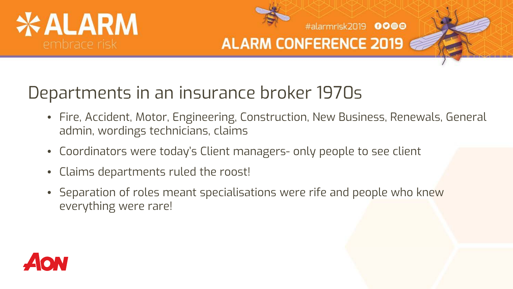



#alarmrisk2019 0000

### Departments in an insurance broker 1970s

- Fire, Accident, Motor, Engineering, Construction, New Business, Renewals, General admin, wordings technicians, claims
- Coordinators were today's Client managers- only people to see client
- Claims departments ruled the roost!
- Separation of roles meant specialisations were rife and people who knew everything were rare!

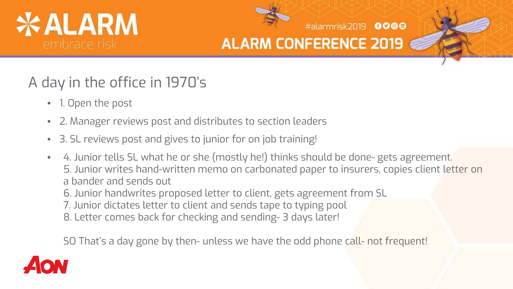



#alarmrisk2019 0000

#### A day in the office in 1970's

- 1. Open the post
- 2. Manager reviews post and distributes to section leaders
- 3. SL reviews post and gives to junior for on job training!
- 4. Junior tells SL what he or she (mostly he!) thinks should be done- gets agreement. 5. Junior writes hand-written memo on carbonated paper to insurers, copies client letter on a bander and sends out
	- 6. Junior handwrites proposed letter to client, gets agreement from SL
	- 7. Junior dictates letter to client and sends tape to typing pool
	- 8. Letter comes back for checking and sending- 3 days later!

SO That's a day gone by then- unless we have the odd phone call- not frequent!

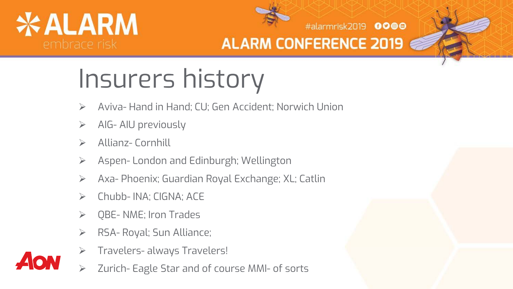



#alarmrisk2019 0000

# Insurers history

- Aviva- Hand in Hand; CU; Gen Accident; Norwich Union
- AIG- AIU previously
- Allianz- Cornhill
- Aspen- London and Edinburgh; Wellington
- Axa- Phoenix; Guardian Royal Exchange; XL; Catlin
- Chubb- INA; CIGNA; ACE
- QBE- NME; Iron Trades
- > RSA- Royal; Sun Alliance;
- Travelers- always Travelers!
- Zurich- Eagle Star and of course MMI- of sorts

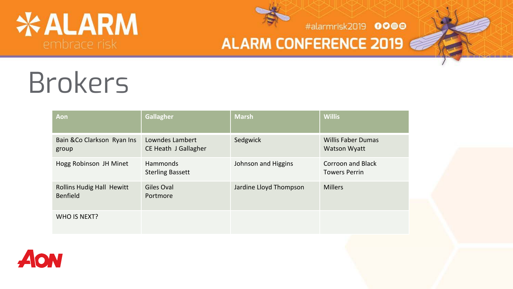



#alarmrisk2019 0000

#### **ALARM CONFERENCE 2019**

## Brokers

| Aon                                          | <b>Gallagher</b>                           | <b>Marsh</b>           | <b>Willis</b>                                    |
|----------------------------------------------|--------------------------------------------|------------------------|--------------------------------------------------|
| Bain & Co Clarkson Ryan Ins<br>group         | Lowndes Lambert<br>CE Heath J Gallagher    | Sedgwick               | <b>Willis Faber Dumas</b><br><b>Watson Wyatt</b> |
| Hogg Robinson JH Minet                       | <b>Hammonds</b><br><b>Sterling Bassett</b> | Johnson and Higgins    | Corroon and Black<br><b>Towers Perrin</b>        |
| <b>Rollins Hudig Hall Hewitt</b><br>Benfield | Giles Oval<br>Portmore                     | Jardine Lloyd Thompson | <b>Millers</b>                                   |
| WHO IS NEXT?                                 |                                            |                        |                                                  |

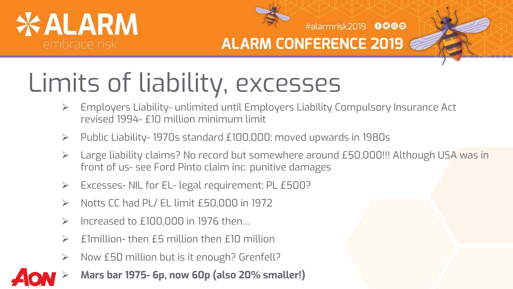



#alarmrisk2019 0000

### Limits of liability, excesses

- Employers Liability- unlimited until Employers Liability Compulsory Insurance Act revised 1994- £10 million minimum limit
- Public Liability- 1970s standard £100,000; moved upwards in 1980s
- Large liability claims? No record but somewhere around £50,000!!! Although USA was in front of us- see Ford Pinto claim inc. punitive damages
- Excesses- NIL for EL- legal requirement; PL £500?
- $\triangleright$  Notts CC had PL/ EL limit £50,000 in 1972
- $\triangleright$  Increased to £100,000 in 1976 then...
- £1million- then £5 million then £10 million
- $\triangleright$  Now £50 million but is it enough? Grenfell?
- **Mars bar 1975- 6p, now 60p (also 20% smaller!)**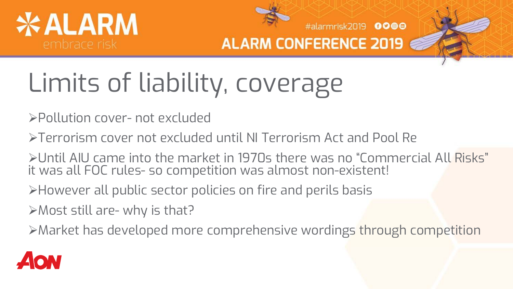

#alarmrisk2019 0000

# Limits of liability, coverage

Pollution cover- not excluded

Terrorism cover not excluded until NI Terrorism Act and Pool Re

Until AIU came into the market in 1970s there was no "Commercial All Risks" it was all FOC rules- so competition was almost non-existent!

However all public sector policies on fire and perils basis

Most still are- why is that?

Market has developed more comprehensive wordings through competition

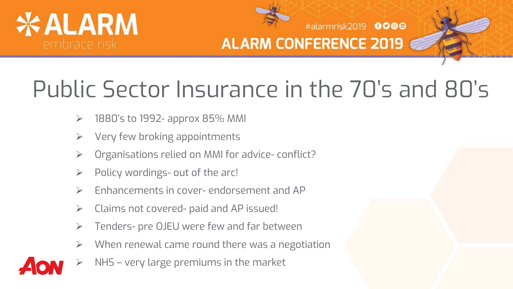



#alarmrisk2019 0000

### Public Sector Insurance in the 70's and 80's

- $\geq$  1880's to 1992- approx 85% MMI
- $\triangleright$  Very few broking appointments
- Organisations relied on MMI for advice- conflict?
- $\triangleright$  Policy wordings- out of the arc!
- Enhancements in cover- endorsement and AP
- $\triangleright$  Claims not covered- paid and AP issued!
- Tenders- pre OJEU were few and far between
- When renewal came round there was a negotiation
- NHS very large premiums in the market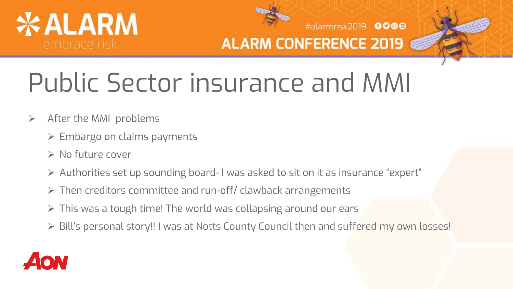



**ALARM CONFERENCE 2019 6** 

#alarmrisk2019 0000

## Public Sector insurance and MMI

- $\triangleright$  After the MMI problems
	- $\triangleright$  Embargo on claims payments
	- $\triangleright$  No future cover
	- Authorities set up sounding board- I was asked to sit on it as insurance "expert"
	- Then creditors committee and run-off/ clawback arrangements
	- This was a tough time! The world was collapsing around our ears
	- Bill's personal story!! I was at Notts County Council then and suffered my own losses!

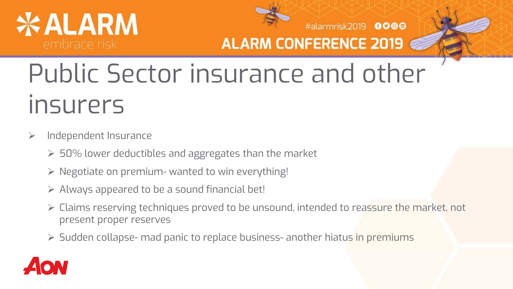



#alarmrisk2019 0000

#### **ALARM CONFERENCE 2019**

### Public Sector insurance and other insurers

- $\triangleright$  Independent Insurance
	- $>$  50% lower deductibles and aggregates than the market
	- $\triangleright$  Negotiate on premium- wanted to win everything!
	- $\triangleright$  Always appeared to be a sound financial bet!
	- Claims reserving techniques proved to be unsound, intended to reassure the market, not present proper reserves
	- Sudden collapse- mad panic to replace business- another hiatus in premiums

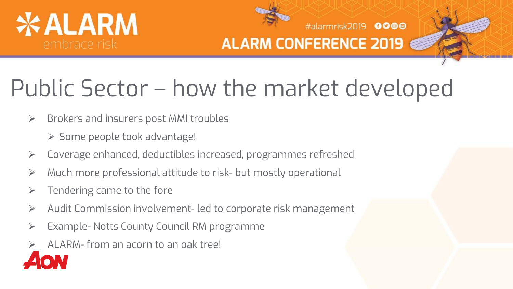



#alarmrisk2019 0000

### Public Sector – how the market developed

- $\triangleright$  Brokers and insurers post MMI troubles
	- > Some people took advantage!
- Coverage enhanced, deductibles increased, programmes refreshed
- Much more professional attitude to risk- but mostly operational
- $\triangleright$  Tendering came to the fore
- Audit Commission involvement- led to corporate risk management
- Example- Notts County Council RM programme
- ALARM- from an acorn to an oak tree!

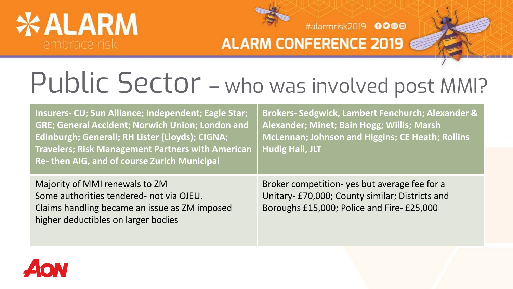



#alarmrisk2019 0000

### Public Sector - who was involved post MMI?

| Insurers- CU; Sun Alliance; Independent; Eagle Star;<br><b>GRE; General Accident; Norwich Union; London and</b><br>Edinburgh; Generali; RH Lister (Lloyds); CIGNA;<br><b>Travelers; Risk Management Partners with American</b><br>Re- then AIG, and of course Zurich Municipal | Brokers-Sedgwick, Lambert Fenchurch; Alexander &<br>Alexander; Minet; Bain Hogg; Willis; Marsh<br>McLennan; Johnson and Higgins; CE Heath; Rollins<br><b>Hudig Hall, JLT</b> |
|--------------------------------------------------------------------------------------------------------------------------------------------------------------------------------------------------------------------------------------------------------------------------------|------------------------------------------------------------------------------------------------------------------------------------------------------------------------------|
| Majority of MMI renewals to ZM<br>Some authorities tendered- not via OJEU.<br>Claims handling became an issue as ZM imposed<br>higher deductibles on larger bodies                                                                                                             | Broker competition- yes but average fee for a<br>Unitary- £70,000; County similar; Districts and<br>Boroughs £15,000; Police and Fire- £25,000                               |

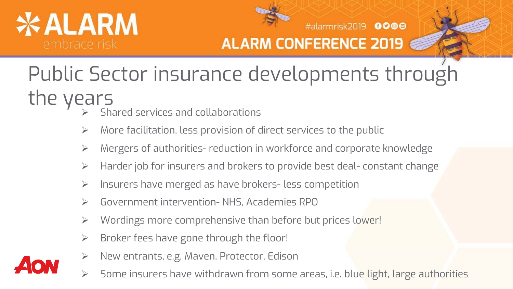



#alarmrisk2019 0000

### Public Sector insurance developments through the years  $\mathcal{S}$  shared services and collaborations

- 
- $\triangleright$  More facilitation, less provision of direct services to the public
- Mergers of authorities- reduction in workforce and corporate knowledge
- > Harder job for insurers and brokers to provide best deal- constant change
- Insurers have merged as have brokers- less competition
- Government intervention- NHS, Academies RPO
- ▶ Wordings more comprehensive than before but prices lower!
- $\triangleright$  Broker fees have gone through the floor!
- New entrants, e.g. Maven, Protector, Edison
- Some insurers have withdrawn from some areas, i.e. blue light, large authorities

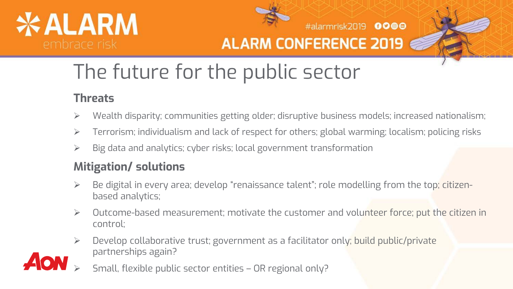



#alarmrisk2019 0000

### The future for the public sector

#### **Threats**

- Wealth disparity; communities getting older; disruptive business models; increased nationalism;
- Terrorism; individualism and lack of respect for others; global warming; localism; policing risks
- $\triangleright$  Big data and analytics; cyber risks; local government transformation

#### **Mitigation/ solutions**

- Be digital in every area; develop "renaissance talent"; role modelling from the top; citizenbased analytics;
- Outcome-based measurement; motivate the customer and volunteer force; put the citizen in control;
- Develop collaborative trust; government as a facilitator only; build public/private partnerships again?
- Small, flexible public sector entities OR regional only?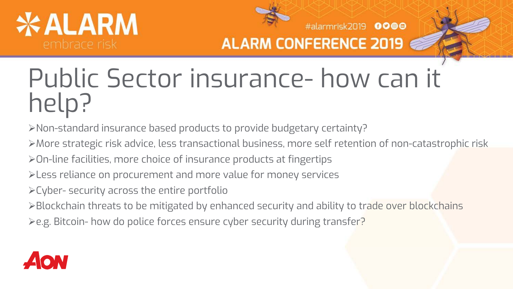



#alarmrisk2019 0000

### Public Sector insurance- how can it help?

Non-standard insurance based products to provide budgetary certainty?

More strategic risk advice, less transactional business, more self retention of non-catastrophic risk

On-line facilities, more choice of insurance products at fingertips

- Less reliance on procurement and more value for money services
- Cyber- security across the entire portfolio

Elockchain threats to be mitigated by enhanced security and ability to trade over blockchains

≽e.g. Bitcoin- how do police forces ensure cyber security during transfer?

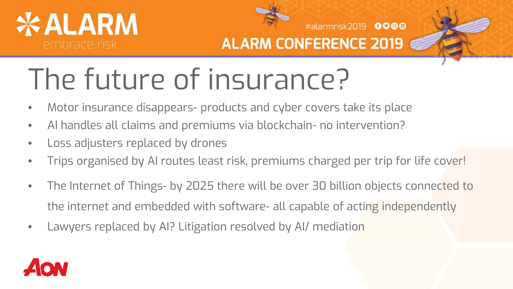



#alarmrisk2019 0000

# The future of insurance?

- Motor insurance disappears- products and cyber covers take its place
- AI handles all claims and premiums via blockchain- no intervention?
- Loss adjusters replaced by drones
- Trips organised by AI routes least risk, premiums charged per trip for life cover!
- The Internet of Things- by 2025 there will be over 30 billion objects connected to the internet and embedded with software- all capable of acting independently
- Lawyers replaced by AI? Litigation resolved by AI/ mediation

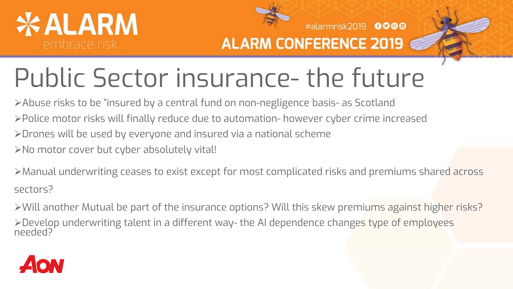



#alarmrisk2019 0000

## Public Sector insurance- the future

Abuse risks to be "insured by a central fund on non-negligence basis- as Scotland Police motor risks will finally reduce due to automation- however cyber crime increased Drones will be used by everyone and insured via a national scheme No motor cover but cyber absolutely vital!

Manual underwriting ceases to exist except for most complicated risks and premiums shared across sectors?

Will another Mutual be part of the insurance options? Will this skew premiums against higher risks? >Develop underwriting talent in a different way- the AI dependence change<mark>s</mark> type of employees<br>needed?